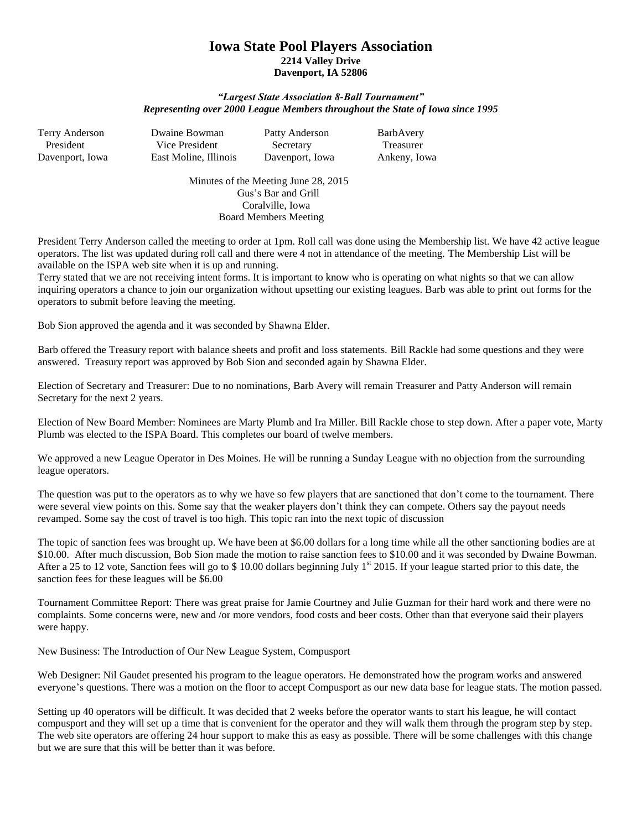## **Iowa State Pool Players Association 2214 Valley Drive Davenport, IA 52806**

## *"Largest State Association 8-Ball Tournament" Representing over 2000 League Members throughout the State of Iowa since 1995*

Minutes of the Meeting June 28, 2015 Gus's Bar and Grill Coralville, Iowa Board Members Meeting

President Terry Anderson called the meeting to order at 1pm. Roll call was done using the Membership list. We have 42 active league operators. The list was updated during roll call and there were 4 not in attendance of the meeting. The Membership List will be available on the ISPA web site when it is up and running.

Terry stated that we are not receiving intent forms. It is important to know who is operating on what nights so that we can allow inquiring operators a chance to join our organization without upsetting our existing leagues. Barb was able to print out forms for the operators to submit before leaving the meeting.

Bob Sion approved the agenda and it was seconded by Shawna Elder.

Barb offered the Treasury report with balance sheets and profit and loss statements. Bill Rackle had some questions and they were answered. Treasury report was approved by Bob Sion and seconded again by Shawna Elder.

Election of Secretary and Treasurer: Due to no nominations, Barb Avery will remain Treasurer and Patty Anderson will remain Secretary for the next 2 years.

Election of New Board Member: Nominees are Marty Plumb and Ira Miller. Bill Rackle chose to step down. After a paper vote, Marty Plumb was elected to the ISPA Board. This completes our board of twelve members.

We approved a new League Operator in Des Moines. He will be running a Sunday League with no objection from the surrounding league operators.

The question was put to the operators as to why we have so few players that are sanctioned that don't come to the tournament. There were several view points on this. Some say that the weaker players don't think they can compete. Others say the payout needs revamped. Some say the cost of travel is too high. This topic ran into the next topic of discussion

The topic of sanction fees was brought up. We have been at \$6.00 dollars for a long time while all the other sanctioning bodies are at \$10.00. After much discussion, Bob Sion made the motion to raise sanction fees to \$10.00 and it was seconded by Dwaine Bowman. After a 25 to 12 vote, Sanction fees will go to \$ 10.00 dollars beginning July  $1<sup>st</sup>$  2015. If your league started prior to this date, the sanction fees for these leagues will be \$6.00

Tournament Committee Report: There was great praise for Jamie Courtney and Julie Guzman for their hard work and there were no complaints. Some concerns were, new and /or more vendors, food costs and beer costs. Other than that everyone said their players were happy.

New Business: The Introduction of Our New League System, Compusport

Web Designer: Nil Gaudet presented his program to the league operators. He demonstrated how the program works and answered everyone's questions. There was a motion on the floor to accept Compusport as our new data base for league stats. The motion passed.

Setting up 40 operators will be difficult. It was decided that 2 weeks before the operator wants to start his league, he will contact compusport and they will set up a time that is convenient for the operator and they will walk them through the program step by step. The web site operators are offering 24 hour support to make this as easy as possible. There will be some challenges with this change but we are sure that this will be better than it was before.